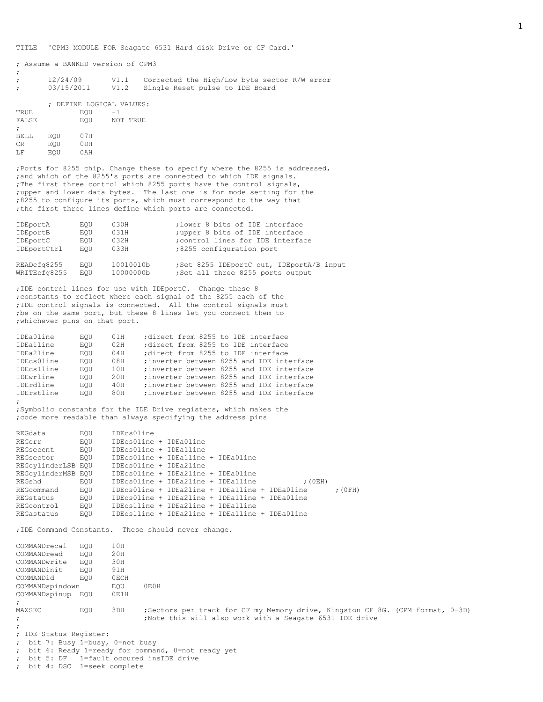TITLE 'CPM3 MODULE FOR Seagate 6531 Hard disk Drive or CF Card.'

; Assume a BANKED version of CPM3

| $\mathbf{r}$<br>$\mathcal{L}$ | 12/24/09                           | V1.1 Corrected the High/Low byte sector R/W error<br>03/15/2011 V1.2 Single Reset pulse to IDE Board |
|-------------------------------|------------------------------------|------------------------------------------------------------------------------------------------------|
| TRUE                          | : DEFINE LOGICAL VALUES:<br>EOU -1 |                                                                                                      |

| -- - - - -           |     | ⊷⊻              |          |
|----------------------|-----|-----------------|----------|
| FALSE                |     | EOU             | NOT TRUE |
| $\ddot{\phantom{0}}$ |     |                 |          |
| <b>BELL</b>          | EOU | 07H             |          |
| CR.                  | EOU | 0 <sub>DH</sub> |          |
| T.F                  | EQU | 0 A H           |          |

;

;Ports for 8255 chip. Change these to specify where the 8255 is addressed, ;and which of the 8255's ports are connected to which IDE signals. ;The first three control which 8255 ports have the control signals, ;upper and lower data bytes. The last one is for mode setting for the ;8255 to configure its ports, which must correspond to the way that ; the first three lines define which ports are connected.

| IDEportA    | EOU | 030H      | : lower 8 bits of IDE interface         |
|-------------|-----|-----------|-----------------------------------------|
| IDEportB    | EOU | 031H      | ; upper 8 bits of IDE interface         |
| IDEportC    | EOU | 032H      | ; control lines for IDE interface       |
| IDEportCtrl | EOU | 033H      | :8255 configuration port                |
| READcfg8255 | EOU | 10010010b | Set 8255 IDEportC out, IDEportA/B input |

WRITEcfg8255 EQU 10000000b ;Set all three 8255 ports output ;IDE control lines for use with IDEportC. Change these 8

;constants to reflect where each signal of the 8255 each of the ;IDE control signals is connected. All the control signals must ;be on the same port, but these 8 lines let you connect them to ;whichever pins on that port.

| IDEa0line        | EOU | 01H | direct from 8255 to IDE interface         |
|------------------|-----|-----|-------------------------------------------|
| IDEa1line        | EOU | 02H | :direct from 8255 to IDE interface        |
| IDEa2line        | EOU | 04H | ; direct from 8255 to IDE interface       |
| IDEcs0line       | EOU | 08H | ; inverter between 8255 and IDE interface |
| IDEcs1line       | EOU | 10H | ; inverter between 8255 and IDE interface |
| IDEwrline        | EOU | 20H | ; inverter between 8255 and IDE interface |
| <b>TDErdline</b> | EOU | 40H | ; inverter between 8255 and IDE interface |
| IDErstline       | EOU | 80H | ; inverter between 8255 and IDE interface |
| $\ddot{i}$       |     |     |                                           |

;Symbolic constants for the IDE Drive registers, which makes the ;code more readable than always specifying the address pins

| REGdata            | EOU | IDEcs0line                                     |  |  |                                                |           |
|--------------------|-----|------------------------------------------------|--|--|------------------------------------------------|-----------|
| REGerr             | EOU | IDEcsOline + IDEaOline                         |  |  |                                                |           |
| REGseccnt          | EOU | IDEcsOline + IDEalline                         |  |  |                                                |           |
| REGsector          | EOU | IDEcsOline + IDEalline + IDEaOline             |  |  |                                                |           |
| REGCylinderLSB EOU |     | IDEcsOline + IDEa2line                         |  |  |                                                |           |
| REGcylinderMSB EOU |     | IDEcsOline + IDEa2line + IDEaOline             |  |  |                                                |           |
| REGshd             | EOU | IDEcsOline + IDEa2line + IDEa1line             |  |  | (0EH)                                          |           |
| REGcommand         | EOU |                                                |  |  | IDEcsOline + IDEa2line + IDEa1line + IDEa0line | $;$ (OFH) |
| REGstatus          | EOU | IDEcs0line + IDEa2line + IDEa1line + IDEa0line |  |  |                                                |           |
| REGcontrol         | EOU | IDEcslline + IDEa2line + IDEalline             |  |  |                                                |           |
| REGastatus         | EOU | IDEcslline + IDEa2line + IDEa1line + IDEa0line |  |  |                                                |           |

;IDE Command Constants. These should never change.

COMMANDrecal EQU 10H<br>COMMANDread EQU 20H COMMANDread EQU 20H<br>COMMANDwrite EQU 30H COMMANDwrite EQU COMMANDinit EQU 91H<br>COMMANDid EQU 0ECI COMMANDid EQU OECH<br>COMMANDspindown EOU COMMANDspindown EQU 0E0H COMMANDspinup EQU 0E1H ; MAXSEC EQU 3DH ;Sectors per track for CF my Memory drive, Kingston CF 8G. (CPM format, 0-3D) ; ;Note this will also work with a Seagate 6531 IDE drive ; ; IDE Status Register: ; bit 7: Busy 1=busy, 0=not busy ; bit 6: Ready 1=ready for command, 0=not ready yet ; bit 5: DF 1=fault occured insIDE drive

; bit 4: DSC 1=seek complete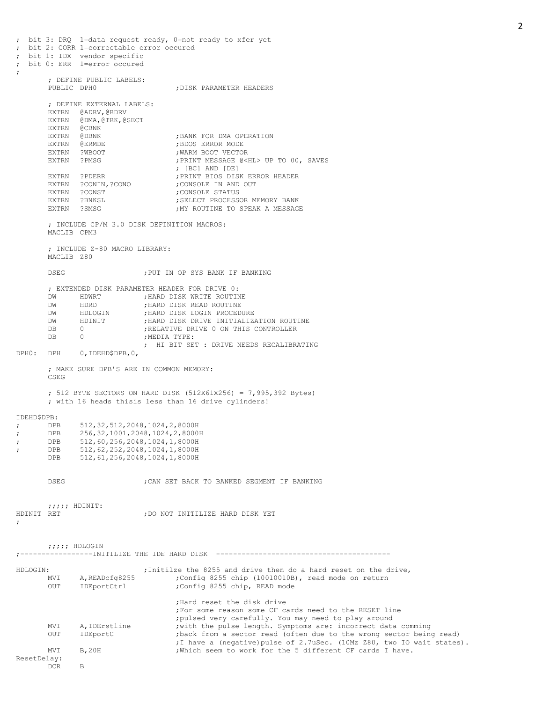; bit 3: DRQ 1=data request ready, 0=not ready to xfer yet ; bit 2: CORR 1=correctable error occured bit 1: IDX vendor specific ; bit 0: ERR 1=error occured ; ; DEFINE PUBLIC LABELS: PUBLIC DPH0  $\qquad \qquad$  ; DISK PARAMETER HEADERS ; DEFINE EXTERNAL LABELS: EXTRN @ADRV,@RDRV EXTRN @DMA,@TRK,@SECT EXTRN @CBNK EXTRN @DBNK ;BANK FOR DMA OPERATION ; BDOS ERROR MODE EXTRN ?WBOOT **;WARM BOOT VECTOR**<br>EXTRN ?PMSG :PRINT MESSAGE 0<1 ; PRINT MESSAGE @<HL> UP TO 00, SAVES ; [BC] AND [DE] EXTRN ?PDERR ;PRINT BIOS DISK ERROR HEADER EXTRN ?CONIN,?CONO ;CONSOLE IN AND OUT<br>
EXTRN ?CONST ;CONSOLE STATUS<br>
EXTRN ?BNKSL ;SELECT PROCESSOR M PERSON ?CONST PROPERTY ?CONSOLE STATUS ; SELECT PROCESSOR MEMORY BANK EXTRN ?SMSG ;MY ROUTINE TO SPEAK A MESSAGE ; INCLUDE CP/M 3.0 DISK DEFINITION MACROS: MACLIB CPM3 ; INCLUDE Z-80 MACRO LIBRARY: MACLIB Z80 DSEG ;PUT IN OP SYS BANK IF BANKING ; EXTENDED DISK PARAMETER HEADER FOR DRIVE 0: DW HDWRT ; HARD DISK WRITE ROUTINE DW HDRD ; HARD DISK READ ROUTINE DW HDLOGIN ; HARD DISK LOGIN PROCEDURE DW HDINIT ;HARD DISK DRIVE INITIALIZATION ROUTINE DB 0 0 ;RELATIVE DRIVE 0 ON THIS CONTROLLER<br>DB 0 0 ;MEDIA TYPE: 0 ; MEDIA TYPE: ; HI BIT SET : DRIVE NEEDS RECALIBRATING DPH0: DPH 0,IDEHD\$DPB,0, ; MAKE SURE DPB'S ARE IN COMMON MEMORY: CSEG ; 512 BYTE SECTORS ON HARD DISK (512X61X256) = 7,995,392 Bytes) ; with 16 heads thisis less than 16 drive cylinders! IDEHD\$DPB:<br>: DPB ; DPB 512,32,512,2048,1024,2,8000H<br>
; DPB 256,32,1001,2048,1024,2,80001 ; DPB 256,32,1001,2048,1024,2,8000H ; DPB 512,60,256,2048,1024,1,8000H ; DPB 512,62,252,2048,1024,1,8000H DPB 512,61,256,2048,1024,1,8000H DSEG  $\blacksquare$  , CAN SET BACK TO BANKED SEGMENT IF BANKING  $;;;;;$  HDINIT:<br>HDINIT RET ; DO NOT INITILIZE HARD DISK YET ; ;;;;; HDLOGIN ;-----------------INITILIZE THE IDE HARD DISK ----------------------------------------- HDLOGIN: ;Initilze the 8255 and drive then do a hard reset on the drive, MVI A, READcfg8255 ;Config 8255 chip (10010010B), read mode on return OUT IDEportCtrl ;Config 8255 chip, READ mode ;Hard reset the disk drive ;For some reason some CF cards need to the RESET line ;pulsed very carefully. You may need to play around MVI A, IDErstline ; with the pulse length. Symptoms are: incorrect data comming OUT IDEportC ;back from a sector read (often due to the wrong sector being read) ;I have a (negative)pulse of 2.7uSec. (10Mz Z80, two IO wait states). MVI B, 20H ; Which seem to work for the 5 different CF cards I have. ResetDelay: DCR B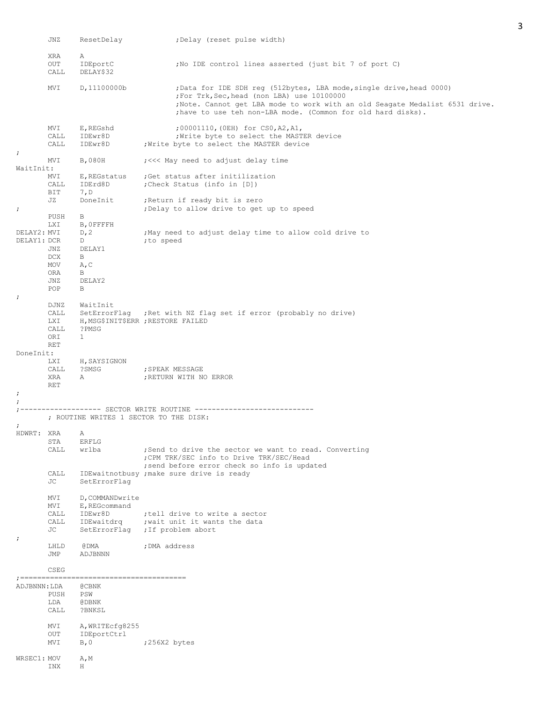|                            | JNZ                                | ResetDelay                                                | ;Delay (reset pulse width)                                                                                                                                                                                                                                        |
|----------------------------|------------------------------------|-----------------------------------------------------------|-------------------------------------------------------------------------------------------------------------------------------------------------------------------------------------------------------------------------------------------------------------------|
|                            | XRA<br>OUT<br>CALL                 | Α<br>IDEportC<br>DELAY\$32                                | ; No IDE control lines asserted (just bit 7 of port C)                                                                                                                                                                                                            |
|                            | MVI                                | D, 11100000b                                              | ;Data for IDE SDH reg (512bytes, LBA mode, single drive, head 0000)<br>;For Trk, Sec, head (non LBA) use 10100000<br>; Note. Cannot get LBA mode to work with an old Seagate Medalist 6531 drive.<br>; have to use teh non-LBA mode. (Common for old hard disks). |
|                            | MVI<br>CALL<br>CALL                | E,REGshd<br>IDEwr8D<br>IDEwr8D                            | ;00001110, (OEH) for CSO, A2, A1,<br>; Write byte to select the MASTER device<br>Write byte to select the MASTER device                                                                                                                                           |
| $\ddot{ }$                 | MVI                                | B,080H                                                    | ;<<< May need to adjust delay time                                                                                                                                                                                                                                |
| WaitInit:                  | MVI<br>CALL                        | IDErd8D                                                   | E, REGstatus ; Get status after initilization<br>; Check Status (info in [D])                                                                                                                                                                                     |
|                            | BIT<br>JZ                          | 7, D<br>DoneInit                                          | Return if ready bit is zero,                                                                                                                                                                                                                                      |
| ;                          | PUSH<br><b>LXI</b>                 | B<br>B, OFFFFH                                            | ; Delay to allow drive to get up to speed                                                                                                                                                                                                                         |
| DELAY2: MVI<br>DELAY1: DCR | JNZ<br>DCX<br>MOV<br>ORA           | D, 2<br>D<br>DELAY1<br>B<br>A, C<br>B                     | May need to adjust delay time to allow cold drive to<br>;to speed                                                                                                                                                                                                 |
| ż.                         | JNZ<br>POP                         | DELAY2<br>B                                               |                                                                                                                                                                                                                                                                   |
|                            | DJNZ<br>CALL<br>LXI<br>CALL<br>ORI | WaitInit<br>?PMSG<br>$\mathbf{1}$                         | SetErrorFlag ; Ret with NZ flag set if error (probably no drive)<br>H, MSG\$INIT\$ERR ; RESTORE FAILED                                                                                                                                                            |
| DoneInit:                  | <b>RET</b>                         |                                                           |                                                                                                                                                                                                                                                                   |
|                            | LXI<br>CALL<br>XRA<br><b>RET</b>   | H, SAYSIGNON<br>?SMSG<br>A                                | ; SPEAK MESSAGE<br>; RETURN WITH NO ERROR                                                                                                                                                                                                                         |
| ;                          |                                    |                                                           |                                                                                                                                                                                                                                                                   |
|                            |                                    |                                                           | ; ROUTINE WRITES 1 SECTOR TO THE DISK:                                                                                                                                                                                                                            |
| ;<br>HDWRT: XRA            | STA<br>CALL                        | A<br><b>ERFLG</b><br>wrlba                                | ; Send to drive the sector we want to read. Converting<br>; CPM TRK/SEC info to Drive TRK/SEC/Head                                                                                                                                                                |
|                            | CALL<br>JС                         | SetErrorFlag                                              | ; send before error check so info is updated<br>IDEwaitnotbusy ; make sure drive is ready                                                                                                                                                                         |
|                            | MVI<br>MVI<br>CALL<br>CALL<br>JС   | D, COMMANDwrite<br>E, REGcommand<br>IDEwr8D<br>IDEwaitdrq | ; tell drive to write a sector<br>; wait unit it wants the data<br>SetErrorFlag ; If problem abort                                                                                                                                                                |
| ;                          | LHLD<br>JMP                        | @ DMA<br>ADJBNNN                                          | ; DMA address                                                                                                                                                                                                                                                     |
|                            | CSEG                               |                                                           |                                                                                                                                                                                                                                                                   |
| ADJBNNN: LDA               | PUSH                               | <b>@CBNK</b><br>PSW                                       |                                                                                                                                                                                                                                                                   |
|                            | LDA<br>CALL                        | @DBNK<br>?BNKSL                                           |                                                                                                                                                                                                                                                                   |
|                            | MVI<br>OUT<br>MVI                  | A, WRITECfg8255<br>IDEportCtrl<br>B, 0                    | ;256X2 bytes                                                                                                                                                                                                                                                      |
| WRSEC1: MOV                | INX                                | A, M<br>Η                                                 |                                                                                                                                                                                                                                                                   |

3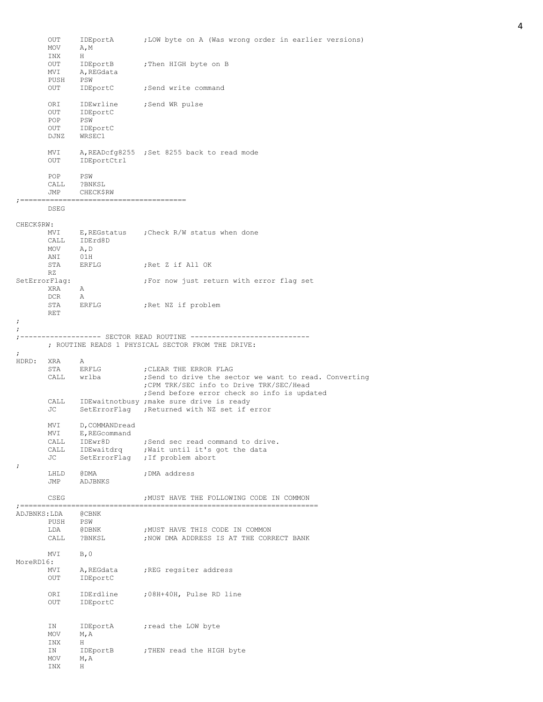|            | OUT             | IDEportA        | ;LOW byte on A (Was wrong order in earlier versions)              |
|------------|-----------------|-----------------|-------------------------------------------------------------------|
|            | MOV             | A, M            |                                                                   |
|            | INX<br>OUT      | H               | IDEportB ; Then HIGH byte on B                                    |
|            | MVI             | A,REGdata       |                                                                   |
|            | PUSH            | PSW             |                                                                   |
|            | OUT             | IDEportC        | ;Send write command                                               |
|            |                 |                 |                                                                   |
|            | ORI             | IDEwrline       | ;Send WR pulse                                                    |
|            | OUT             | IDEportC        |                                                                   |
|            | POP             | PSW             |                                                                   |
|            | OUT             | IDEportC        |                                                                   |
|            | DJNZ            | WRSEC1          |                                                                   |
|            | MVI             |                 | A, READcfg8255 ; Set 8255 back to read mode                       |
|            | OUT             | IDEportCtrl     |                                                                   |
|            | POP             | PSW             |                                                                   |
|            | CALL            | ?BNKSL          |                                                                   |
|            | JMP             | CHECK\$RW       |                                                                   |
|            | DSEG            |                 |                                                                   |
|            |                 |                 |                                                                   |
| CHECK\$RW: | MVI             |                 | E, REGstatus : Check R/W status when done                         |
|            |                 | CALL IDErd8D    |                                                                   |
|            | MOV             | A, D            |                                                                   |
|            | ANI             | 01H             |                                                                   |
|            | STA             | ERFLG           | ;Ret Z if All OK                                                  |
|            | RZ              |                 |                                                                   |
|            | SetErrorFlag:   |                 | ; For now just return with error flag set                         |
|            | XRA             | A               |                                                                   |
|            | DCR             | A               |                                                                   |
|            | RET             | STA ERFLG       | ;Ret NZ if problem                                                |
| ÷          |                 |                 |                                                                   |
| $\ddot{ }$ |                 |                 |                                                                   |
|            |                 |                 |                                                                   |
|            |                 |                 | ; ROUTINE READS 1 PHYSICAL SECTOR FROM THE DRIVE:                 |
| ÷          |                 |                 |                                                                   |
| HDRD: XRA  |                 | A               |                                                                   |
|            |                 |                 |                                                                   |
|            | STA             | ERFLG           | ; CLEAR THE ERROR FLAG                                            |
|            |                 | CALL wrlba      |                                                                   |
|            |                 |                 | ; CPM TRK/SEC info to Drive TRK/SEC/Head                          |
|            |                 |                 | ;Send before error check so info is updated                       |
|            |                 |                 | CALL IDEwaitnotbusy; make sure drive is ready                     |
|            | JC              |                 | SetErrorFlag ; Returned with NZ set if error                      |
|            | MVI             | D, COMMANDread  |                                                                   |
|            | MVI             | E, REGcommand   |                                                                   |
|            | CALL            | IDEwr8D         | ;Send sec read command to drive.                                  |
|            |                 | CALL IDEwaitdrq |                                                                   |
|            | JC              |                 | , Wait until it's got the data<br>SetErrorFlag ; If problem abort |
| $\ddot{ }$ |                 |                 |                                                                   |
|            | LHLD            | @DMA            | ; DMA address                                                     |
|            | JMP             | ADJBNKS         |                                                                   |
|            | CSEG            |                 | ; MUST HAVE THE FOLLOWING CODE IN COMMON                          |
|            | ; ============= |                 |                                                                   |
|            | ADJBNKS:LDA     | @CBNK           | ; Send to drive the sector we want to read. Converting            |
|            | PUSH<br>LDA     | PSW             | ; MUST HAVE THIS CODE IN COMMON                                   |
|            | CALL            | @DBNK<br>?BNKSL | ; NOW DMA ADDRESS IS AT THE CORRECT BANK                          |
|            |                 |                 |                                                                   |
|            | MVI             | B, 0            |                                                                   |
| MoreRD16:  |                 |                 |                                                                   |
|            | MVI             | A, REGdata      | ; REG regsiter address                                            |
|            | OUT             | IDEportC        |                                                                   |
|            |                 |                 |                                                                   |
|            | ORI             | IDErdline       | ;08H+40H, Pulse RD line                                           |
|            | OUT             | IDEportC        |                                                                   |
|            |                 |                 |                                                                   |
|            | ΙN              | IDEportA        | ; read the LOW byte                                               |
|            | MOV             | M, A            |                                                                   |
|            | INX             | H.              |                                                                   |
|            | ΙN              | IDEportB        | ; THEN read the HIGH byte                                         |
|            | MOV<br>INX      | M, A<br>H       |                                                                   |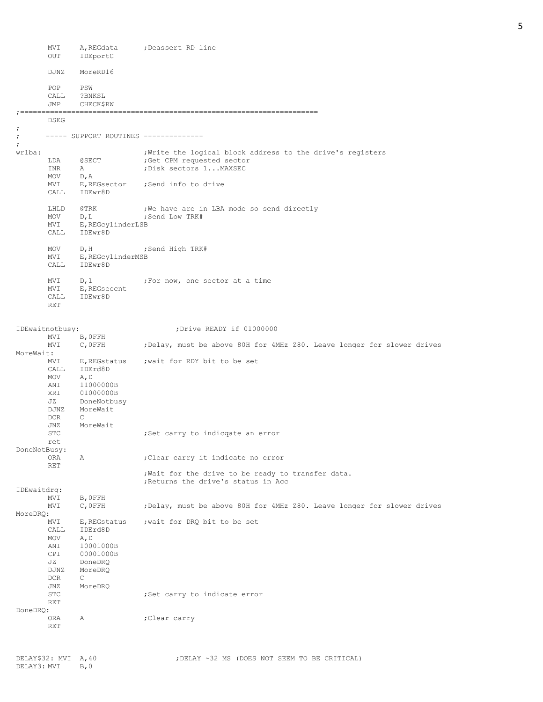|                    | MVI<br>OUT                       | A, REGdata<br>IDEportC                       | ;Deassert RD line                                                                                                   |
|--------------------|----------------------------------|----------------------------------------------|---------------------------------------------------------------------------------------------------------------------|
|                    | DJNZ                             | MoreRD16                                     |                                                                                                                     |
|                    | POP<br>CALL<br>JMP               | PSW<br>?BNKSL<br><b>CHECK\$RW</b>            |                                                                                                                     |
| $: = = = = = =$    |                                  |                                              |                                                                                                                     |
| ï                  | DSEG                             |                                              |                                                                                                                     |
| $\cdot$<br>$\cdot$ |                                  | ----- SUPPORT ROUTINES -------------         |                                                                                                                     |
| wrlba:             | LDA<br>INR                       | <b>@SECT</b><br>Α                            | ; Write the logical block address to the drive's registers<br>; Get CPM requested sector<br>; Disk sectors 1 MAXSEC |
|                    | MOV                              | D, A                                         |                                                                                                                     |
|                    | MVI<br>CALL                      | E, REGsector<br>IDEwr8D                      | ;Send info to drive                                                                                                 |
|                    | LHLD<br>MOV                      | @TRK<br>D, L                                 | ; We have are in LBA mode so send directly<br>; Send Low TRK#                                                       |
|                    | MVI<br>CALL                      | E, REGcylinderLSB<br>IDEwr8D                 |                                                                                                                     |
|                    | MOV<br>MVI<br>CALL               | D, H<br>E, REGcylinderMSB<br>TDEwr8D         | ;Send High TRK#                                                                                                     |
|                    | MVI<br>MVI<br>CALL<br><b>RET</b> | D, 1<br>E, REGseccnt<br>IDEwr8D              | ;For now, one sector at a time                                                                                      |
|                    | IDEwaitnotbusy:                  |                                              | ; Drive READY if 01000000                                                                                           |
| MoreWait:          | MVI<br>MVI                       | B, OFFH<br>$C$ , OFFH                        | ; Delay, must be above 80H for 4MHz Z80. Leave longer for slower drives                                             |
|                    | MVI<br>CALL<br>MOV<br>ANI        | E, REGstatus<br>IDErd8D<br>A, D<br>11000000B | ; wait for RDY bit to be set                                                                                        |
|                    | XRI<br>JZ<br>DJNZ<br>DCR         | 01000000B<br>DoneNotbusy<br>MoreWait<br>С    |                                                                                                                     |
|                    | JNZ<br>STC<br>ret                | MoreWait                                     | ;Set carry to indicqate an error                                                                                    |
| DoneNotBusy:       | ORA                              | Α                                            | ; Clear carry it indicate no error                                                                                  |
|                    | RET                              |                                              | ; Wait for the drive to be ready to transfer data.<br>; Returns the drive's status in Acc                           |
| IDEwaitdrq:        |                                  |                                              |                                                                                                                     |
| MoreDRQ:           | MVI<br>MVI                       | B, OFFH<br>C, OFFH                           | ; Delay, must be above 80H for 4MHz Z80. Leave longer for slower drives                                             |
|                    | MVI<br>CALL<br>MOV<br>ANI        | E, REGstatus<br>IDErd8D<br>A, D<br>10001000B | ; wait for DRQ bit to be set                                                                                        |
|                    | CPI<br>JZ<br>DJNZ<br>DCR         | 00001000B<br>DoneDRQ<br>MoreDRQ<br>C         |                                                                                                                     |
|                    | JNZ<br>STC<br><b>RET</b>         | MoreDRQ                                      | ;Set carry to indicate error                                                                                        |
| DoneDRQ:           | ORA<br><b>RET</b>                | Α                                            | ;Clear carry                                                                                                        |
|                    |                                  |                                              |                                                                                                                     |